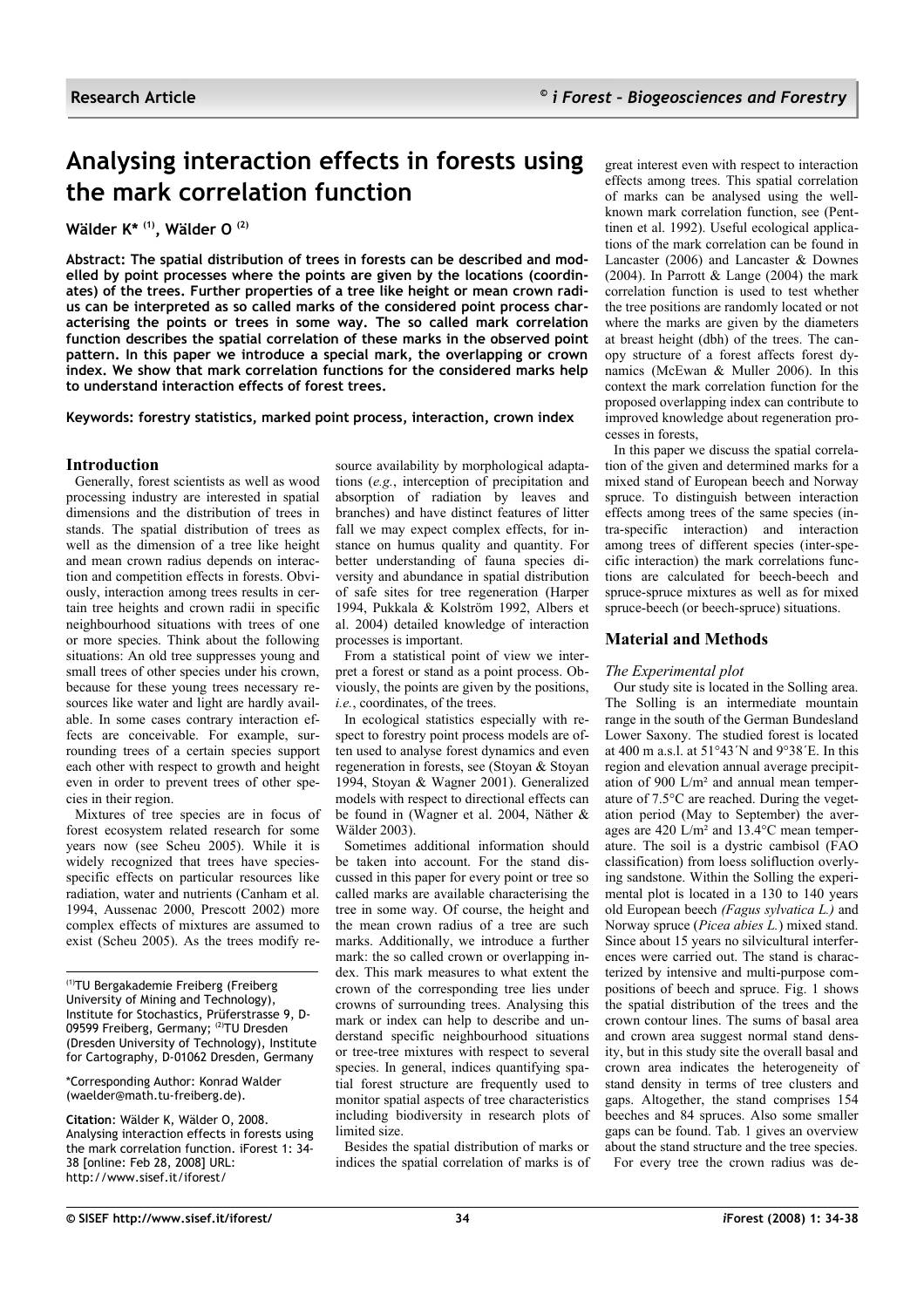# **Analysing interaction effects in forests using the mark correlation function**

**Wälder K\* (1), Wälder O (2)**

**Abstract: The spatial distribution of trees in forests can be described and modelled by point processes where the points are given by the locations (coordinates) of the trees. Further properties of a tree like height or mean crown radius can be interpreted as so called marks of the considered point process characterising the points or trees in some way. The so called mark correlation function describes the spatial correlation of these marks in the observed point pattern. In this paper we introduce a special mark, the overlapping or crown index. We show that mark correlation functions for the considered marks help to understand interaction effects of forest trees.**

**Keywords: forestry statistics, marked point process, interaction, crown index**

## **Introduction**

Generally, forest scientists as well as wood processing industry are interested in spatial dimensions and the distribution of trees in stands. The spatial distribution of trees as well as the dimension of a tree like height and mean crown radius depends on interaction and competition effects in forests. Obviously, interaction among trees results in certain tree heights and crown radii in specific neighbourhood situations with trees of one or more species. Think about the following situations: An old tree suppresses young and small trees of other species under his crown, because for these young trees necessary resources like water and light are hardly available. In some cases contrary interaction effects are conceivable. For example, surrounding trees of a certain species support each other with respect to growth and height even in order to prevent trees of other species in their region.

Mixtures of tree species are in focus of forest ecosystem related research for some years now (see Scheu 2005). While it is widely recognized that trees have speciesspecific effects on particular resources like radiation, water and nutrients (Canham et al. 1994, Aussenac 2000, Prescott 2002) more complex effects of mixtures are assumed to exist (Scheu 2005). As the trees modify re-

(1)TU Bergakademie Freiberg (Freiberg University of Mining and Technology), Institute for Stochastics, Prüferstrasse 9, D-09599 Freiberg, Germany; (2)TU Dresden (Dresden University of Technology), Institute for Cartography, D-01062 Dresden, Germany

\*Corresponding Author: Konrad Walder (waelder@math.tu-freiberg.de).

**Citation**: Wälder K, Wälder O, 2008. Analysing interaction effects in forests using the mark correlation function. iForest 1: 34- 38 [online: Feb 28, 2008] URL: http://www.sisef.it/iforest/

source availability by morphological adaptations (*e.g.*, interception of precipitation and absorption of radiation by leaves and branches) and have distinct features of litter fall we may expect complex effects, for instance on humus quality and quantity. For better understanding of fauna species diversity and abundance in spatial distribution of safe sites for tree regeneration (Harper 1994, Pukkala & Kolström 1992, Albers et al. 2004) detailed knowledge of interaction processes is important.

From a statistical point of view we interpret a forest or stand as a point process. Obviously, the points are given by the positions, *i.e.*, coordinates, of the trees.

In ecological statistics especially with respect to forestry point process models are often used to analyse forest dynamics and even regeneration in forests, see (Stoyan & Stoyan 1994, Stoyan & Wagner 2001). Generalized models with respect to directional effects can be found in (Wagner et al. 2004, Näther & Wälder 2003).

Sometimes additional information should be taken into account. For the stand discussed in this paper for every point or tree so called marks are available characterising the tree in some way. Of course, the height and the mean crown radius of a tree are such marks. Additionally, we introduce a further mark: the so called crown or overlapping index. This mark measures to what extent the crown of the corresponding tree lies under crowns of surrounding trees. Analysing this mark or index can help to describe and understand specific neighbourhood situations or tree-tree mixtures with respect to several species. In general, indices quantifying spatial forest structure are frequently used to monitor spatial aspects of tree characteristics including biodiversity in research plots of limited size.

Besides the spatial distribution of marks or indices the spatial correlation of marks is of great interest even with respect to interaction effects among trees. This spatial correlation of marks can be analysed using the wellknown mark correlation function, see (Penttinen et al. 1992). Useful ecological applications of the mark correlation can be found in Lancaster (2006) and Lancaster & Downes (2004). In Parrott & Lange (2004) the mark correlation function is used to test whether the tree positions are randomly located or not where the marks are given by the diameters at breast height (dbh) of the trees. The canopy structure of a forest affects forest dynamics (McEwan & Muller 2006). In this context the mark correlation function for the proposed overlapping index can contribute to improved knowledge about regeneration processes in forests,

In this paper we discuss the spatial correlation of the given and determined marks for a mixed stand of European beech and Norway spruce. To distinguish between interaction effects among trees of the same species (intra-specific interaction) and interaction among trees of different species (inter-specific interaction) the mark correlations functions are calculated for beech-beech and spruce-spruce mixtures as well as for mixed spruce-beech (or beech-spruce) situations.

# **Material and Methods**

## *The Experimental plot*

Our study site is located in the Solling area. The Solling is an intermediate mountain range in the south of the German Bundesland Lower Saxony. The studied forest is located at 400 m a.s.l. at 51°43´N and 9°38´E. In this region and elevation annual average precipitation of 900 L/m² and annual mean temperature of 7.5°C are reached. During the vegetation period (May to September) the averages are 420 L/m² and 13.4°C mean temperature. The soil is a dystric cambisol (FAO classification) from loess solifluction overlying sandstone. Within the Solling the experimental plot is located in a 130 to 140 years old European beech *(Fagus sylvatica L.)* and Norway spruce (*Picea abies L.*) mixed stand. Since about 15 years no silvicultural interferences were carried out. The stand is characterized by intensive and multi-purpose compositions of beech and spruce. [Fig.](#page-1-0) 1 shows the spatial distribution of the trees and the crown contour lines. The sums of basal area and crown area suggest normal stand density, but in this study site the overall basal and crown area indicates the heterogeneity of stand density in terms of tree clusters and gaps. Altogether, the stand comprises 154 beeches and 84 spruces. Also some smaller gaps can be found. [Tab.](#page-1-1) 1 gives an overview about the stand structure and the tree species. For every tree the crown radius was de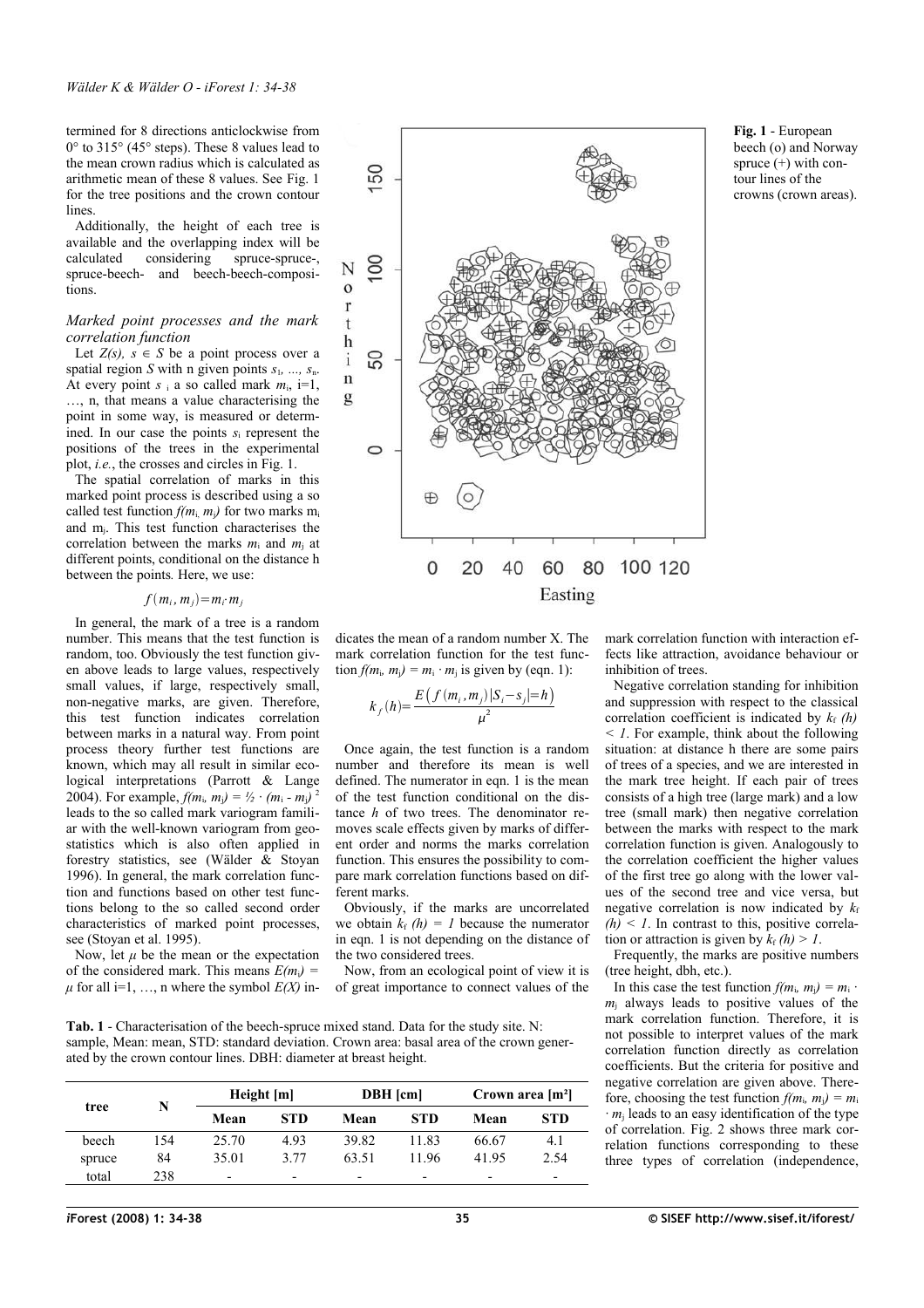termined for 8 directions anticlockwise from 0° to 315° (45° steps). These 8 values lead to the mean crown radius which is calculated as arithmetic mean of these 8 values. See [Fig. 1](#page-1-0) for the tree positions and the crown contour lines.

Additionally, the height of each tree is available and the overlapping index will be calculated considering spruce-spruce-, calculated considering spruce-spruce-, spruce-beech- and beech-beech-compositions.

#### *Marked point processes and the mark correlation function*

Let  $Z(s)$ ,  $s \in S$  be a point process over a spatial region *S* with n given points *s*1*, ..., s*n. At every point  $s_i$  a so called mark  $m_i$ , i=1, …, n, that means a value characterising the point in some way, is measured or determined. In our case the points *s*<sup>i</sup> represent the positions of the trees in the experimental plot, *i.e.*, the crosses and circles in [Fig.](#page-1-0) 1.

The spatial correlation of marks in this marked point process is described using a so called test function  $f(m_i, m_i)$  for two marks m<sub>i</sub> and mj. This test function characterises the correlation between the marks *m*<sup>i</sup> and *m*<sup>j</sup> at different points, conditional on the distance h between the points*.* Here, we use:

#### $f(m_i, m_j) = m_i \cdot m_j$

In general, the mark of a tree is a random number. This means that the test function is random, too. Obviously the test function given above leads to large values, respectively small values, if large, respectively small, non-negative marks, are given. Therefore, this test function indicates correlation between marks in a natural way. From point process theory further test functions are known, which may all result in similar ecological interpretations (Parrott & Lange 2004). For example,  $f(m_i, m_j) = \frac{1}{2} \cdot (m_i - m_j)^2$ leads to the so called mark variogram familiar with the well-known variogram from geostatistics which is also often applied in forestry statistics, see (Wälder  $\hat{\alpha}$  Stoyan 1996). In general, the mark correlation function and functions based on other test functions belong to the so called second order characteristics of marked point processes, see (Stoyan et al. 1995).

Now, let  $\mu$  be the mean or the expectation of the considered mark. This means  $E(m_i)$  $\mu$  for all i=1, ..., n where the symbol  $E(X)$  in-

<span id="page-1-1"></span>**Tab. 1** - Characterisation of the beech-spruce mixed stand. Data for the study site. N: sample, Mean: mean, STD: standard deviation. Crown area: basal area of the crown gener-

ated by the crown contour lines. DBH: diameter at breast height.

| tree   | N   | Height [m]               |            | <b>DBH</b> [cm] |       | Crown area $[m^2]$ |                          |
|--------|-----|--------------------------|------------|-----------------|-------|--------------------|--------------------------|
|        |     | Mean                     | <b>STD</b> | Mean            | STD   | Mean               | STD                      |
| beech  | 154 | 25.70                    | 4.93       | 39.82           | 11 83 | 66.67              | 4.1                      |
| spruce | 84  | 35.01                    | 3.77       | 63.51           | 1196  | 4195               | 2.54                     |
| total  | 238 | $\overline{\phantom{0}}$ | -          | -               | -     | -                  | $\overline{\phantom{0}}$ |

ferent marks.

the two considered trees.



<span id="page-1-0"></span>**Fig. 1** - European beech (o) and Norway spruce  $(+)$  with contour lines of the crowns (crown areas).

mark correlation function with interaction effects like attraction, avoidance behaviour or inhibition of trees.

Negative correlation standing for inhibition and suppression with respect to the classical correlation coefficient is indicated by  $k_f(h)$ *< 1*. For example, think about the following situation: at distance h there are some pairs of trees of a species, and we are interested in the mark tree height. If each pair of trees consists of a high tree (large mark) and a low tree (small mark) then negative correlation between the marks with respect to the mark correlation function is given. Analogously to the correlation coefficient the higher values of the first tree go along with the lower values of the second tree and vice versa, but negative correlation is now indicated by  $k_f$  $(h)$  < *1*. In contrast to this, positive correlation or attraction is given by  $k_f(h) > 1$ .

Frequently, the marks are positive numbers (tree height, dbh, etc.).

In this case the test function  $f(m_i, m_j) = m_i$ .  $m<sub>i</sub>$  always leads to positive values of the mark correlation function. Therefore, it is not possible to interpret values of the mark correlation function directly as correlation coefficients. But the criteria for positive and negative correlation are given above. Therefore, choosing the test function  $f(m_i, m_i) = m_i$ *· m*j leads to an easy identification of the type of correlation. [Fig.](#page-2-0) 2 shows three mark correlation functions corresponding to these three types of correlation (independence,

dicates the mean of a random number X. The mark correlation function for the test function  $f(m_i, m_i) = m_i \cdot m_j$  is given by (eqn. 1):

Once again, the test function is a random number and therefore its mean is well defined. The numerator in eqn. 1 is the mean of the test function conditional on the distance *h* of two trees. The denominator removes scale effects given by marks of different order and norms the marks correlation function. This ensures the possibility to compare mark correlation functions based on dif-

 $k_f(h) = \frac{E(f(m_i, m_j)|S_i - s_j| = h)}{2}$  $\mu^2$ 

Obviously, if the marks are uncorrelated we obtain  $k_f(h) = 1$  because the numerator in eqn. 1 is not depending on the distance of

Now, from an ecological point of view it is of great importance to connect values of the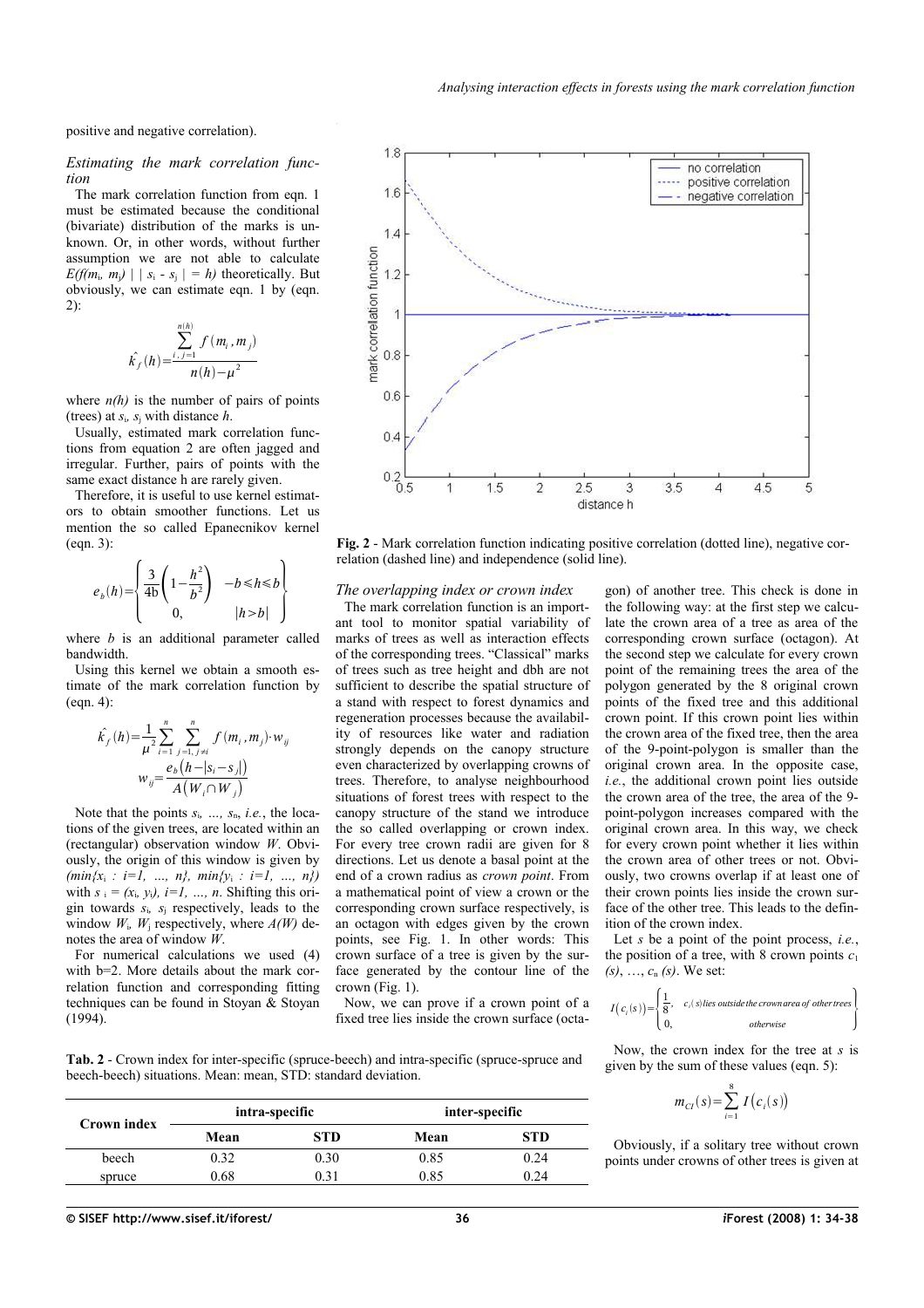positive and negative correlation).

### *Estimating the mark correlation function*

The mark correlation function from eqn. 1 must be estimated because the conditional (bivariate) distribution of the marks is unknown. Or, in other words, without further assumption we are not able to calculate *E(f(m<sub>i</sub>, m<sub>i</sub>)*  $|$   $|s_i - s_j| = h$ ) theoretically. But obviously, we can estimate eqn. 1 by (eqn. 2):

$$
\hat{k_f}(h) = \frac{\sum_{i,j=1}^{n(h)} f(m_i, m_j)}{n(h) - \mu^2}
$$

where  $n(h)$  is the number of pairs of points (trees) at  $s_i$ ,  $s_j$  with distance  $h$ .

Usually, estimated mark correlation functions from equation 2 are often jagged and irregular. Further, pairs of points with the same exact distance h are rarely given.

Therefore, it is useful to use kernel estimators to obtain smoother functions. Let us mention the so called Epanecnikov kernel (eqn. 3):

$$
e_b(h) = \begin{cases} \frac{3}{4b} \left( 1 - \frac{h^2}{b^2} \right) & -b \le h \le b \\ 0, & |h > b| \end{cases}
$$

where *b* is an additional parameter called bandwidth.

Using this kernel we obtain a smooth estimate of the mark correlation function by (eqn. 4):

$$
\hat{k_j}(h) = \frac{1}{\mu^2} \sum_{i=1}^n \sum_{\substack{j=1, j \neq i}}^n f(m_i, m_j) \cdot w_{ij}
$$

$$
w_{ij} = \frac{e_b(h - |s_i - s_j|)}{A(W_i \cap W_j)}
$$

Note that the points *s*i*, …, s*n, *i.e.*, the locations of the given trees, are located within an (rectangular) observation window *W*. Obviously, the origin of this window is given by  $(min\{x_i : i=1, ..., n\}, min\{y_i : i=1, ..., n\})$ with  $s_i = (x_i, y_i)$ ,  $i = 1, \ldots, n$ . Shifting this origin towards *s*i*, s*<sup>j</sup> respectively, leads to the window  $W_i$ ,  $W_i$  respectively, where  $A(W)$  denotes the area of window *W*.

For numerical calculations we used (4) with  $b=2$ . More details about the mark correlation function and corresponding fitting techniques can be found in Stoyan & Stoyan (1994).



<span id="page-2-0"></span>**Fig. 2** - Mark correlation function indicating positive correlation (dotted line), negative correlation (dashed line) and independence (solid line).

#### *The overlapping index or crown index*

The mark correlation function is an important tool to monitor spatial variability of marks of trees as well as interaction effects of the corresponding trees. "Classical" marks of trees such as tree height and dbh are not sufficient to describe the spatial structure of a stand with respect to forest dynamics and regeneration processes because the availability of resources like water and radiation strongly depends on the canopy structure even characterized by overlapping crowns of trees. Therefore, to analyse neighbourhood situations of forest trees with respect to the canopy structure of the stand we introduce the so called overlapping or crown index. For every tree crown radii are given for 8 directions. Let us denote a basal point at the end of a crown radius as *crown point*. From a mathematical point of view a crown or the corresponding crown surface respectively, is an octagon with edges given by the crown points, see [Fig.](#page-1-0) 1. In other words: This crown surface of a tree is given by the surface generated by the contour line of the crown [\(Fig. 1\)](#page-1-0).

Now, we can prove if a crown point of a fixed tree lies inside the crown surface (octagon) of another tree. This check is done in the following way: at the first step we calculate the crown area of a tree as area of the corresponding crown surface (octagon). At the second step we calculate for every crown point of the remaining trees the area of the polygon generated by the 8 original crown points of the fixed tree and this additional crown point. If this crown point lies within the crown area of the fixed tree, then the area of the 9-point-polygon is smaller than the original crown area. In the opposite case, *i.e.*, the additional crown point lies outside the crown area of the tree, the area of the 9 point-polygon increases compared with the original crown area. In this way, we check for every crown point whether it lies within the crown area of other trees or not. Obviously, two crowns overlap if at least one of their crown points lies inside the crown surface of the other tree. This leads to the definition of the crown index.

Let *s* be a point of the point process, *i.e.*, the position of a tree, with 8 crown points  $c_1$ *(s)*, …, *c*n *(s)*. We set:

$$
I(c_i(s)) = \begin{cases} \frac{1}{8}, & c_i(s) \text{ lies outside the crown area of other trees} \\ 0, & otherwise \end{cases}
$$

<span id="page-2-1"></span>**Tab. 2** - Crown index for inter-specific (spruce-beech) and intra-specific (spruce-spruce and beech-beech) situations. Mean: mean, STD: standard deviation.

|             |      | intra-specific | inter-specific |            |  |
|-------------|------|----------------|----------------|------------|--|
| Crown index | Mean | STD            | Mean           | <b>STD</b> |  |
| beech       | 0.32 | 0.30           | 0.85           | 0.24       |  |
| spruce      | 0.68 | 0.31           | 0.85           | 0.24       |  |

Now, the crown index for the tree at *s* is given by the sum of these values (eqn. 5):

$$
m_{CI}(s) = \sum_{i=1}^{8} I(c_i(s))
$$

Obviously, if a solitary tree without crown points under crowns of other trees is given at

**© SISEF http://www.sisef.it/iforest/ 36** *i***Forest (2008) 1: 34-38**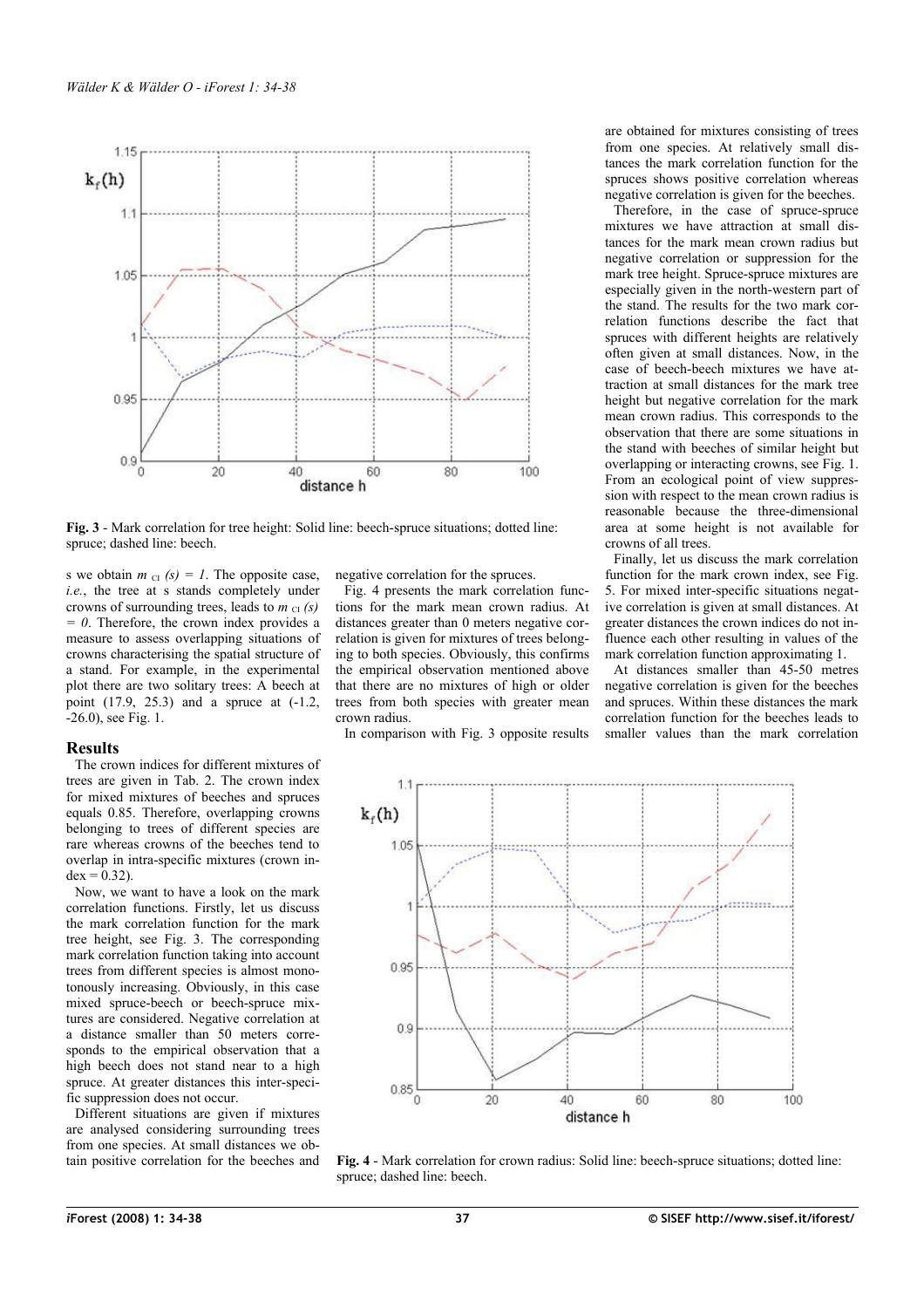

<span id="page-3-0"></span>**Fig. 3** - Mark correlation for tree height: Solid line: beech-spruce situations; dotted line: spruce; dashed line: beech.

s we obtain  $m_{\text{CI}}(s) = 1$ . The opposite case, *i.e.*, the tree at s stands completely under crowns of surrounding trees, leads to  $m_{\text{CI}}(s)$ *0*. Therefore, the crown index provides a measure to assess overlapping situations of crowns characterising the spatial structure of a stand. For example, in the experimental plot there are two solitary trees: A beech at point (17.9, 25.3) and a spruce at (-1.2, -26.0), see [Fig.](#page-1-0) 1.

#### **Results**

The crown indices for different mixtures of trees are given in [Tab.](#page-2-1) 2. The crown index for mixed mixtures of beeches and spruces equals 0.85. Therefore, overlapping crowns belonging to trees of different species are rare whereas crowns of the beeches tend to overlap in intra-specific mixtures (crown in $dex = 0.32$ ).

Now, we want to have a look on the mark correlation functions. Firstly, let us discuss the mark correlation function for the mark tree height, see [Fig.](#page-3-0) 3. The corresponding mark correlation function taking into account trees from different species is almost monotonously increasing. Obviously, in this case mixed spruce-beech or beech-spruce mixtures are considered. Negative correlation at a distance smaller than 50 meters corresponds to the empirical observation that a high beech does not stand near to a high spruce. At greater distances this inter-specific suppression does not occur.

Different situations are given if mixtures are analysed considering surrounding trees from one species. At small distances we obtain positive correlation for the beeches and negative correlation for the spruces.

[Fig.](#page-3-1) 4 presents the mark correlation functions for the mark mean crown radius. At distances greater than 0 meters negative correlation is given for mixtures of trees belonging to both species. Obviously, this confirms the empirical observation mentioned above that there are no mixtures of high or older trees from both species with greater mean crown radius.

In comparison with [Fig.](#page-3-0) 3 opposite results

are obtained for mixtures consisting of trees from one species. At relatively small distances the mark correlation function for the spruces shows positive correlation whereas negative correlation is given for the beeches.

Therefore, in the case of spruce-spruce mixtures we have attraction at small distances for the mark mean crown radius but negative correlation or suppression for the mark tree height. Spruce-spruce mixtures are especially given in the north-western part of the stand. The results for the two mark correlation functions describe the fact that spruces with different heights are relatively often given at small distances. Now, in the case of beech-beech mixtures we have attraction at small distances for the mark tree height but negative correlation for the mark mean crown radius. This corresponds to the observation that there are some situations in the stand with beeches of similar height but overlapping or interacting crowns, see [Fig. 1.](#page-1-0) From an ecological point of view suppression with respect to the mean crown radius is reasonable because the three-dimensional area at some height is not available for crowns of all trees.

Finally, let us discuss the mark correlation function for the mark crown index, see [Fig.](#page-4-0) [5.](#page-4-0) For mixed inter-specific situations negative correlation is given at small distances. At greater distances the crown indices do not influence each other resulting in values of the mark correlation function approximating 1.

At distances smaller than 45-50 metres negative correlation is given for the beeches and spruces. Within these distances the mark correlation function for the beeches leads to smaller values than the mark correlation



<span id="page-3-1"></span>**Fig. 4** - Mark correlation for crown radius: Solid line: beech-spruce situations; dotted line: spruce; dashed line: beech.